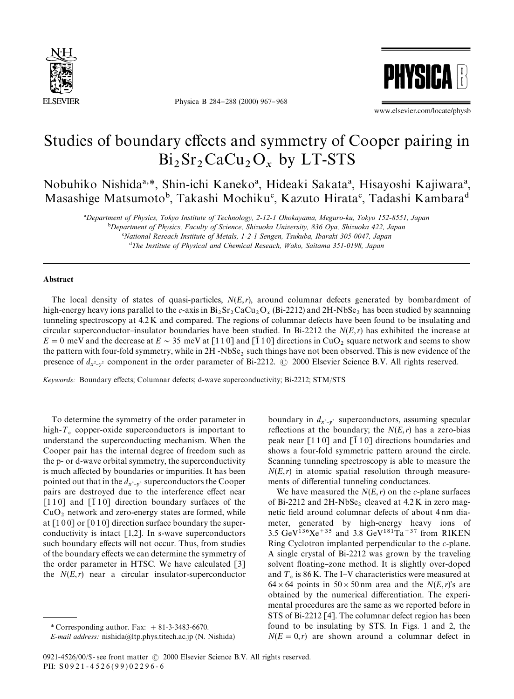

Physica B 284-288 (2000) 967-968



www.elsevier.com/locate/physb

## Studies of boundary effects and symmetry of Cooper pairing in  $Bi_2Sr_2CaCu_2O_x$  by LT-STS

Nobuhiko Nishida<sup>a,\*</sup>, Shin-ichi Kaneko<sup>a</sup>, Hideaki Sakata<sup>a</sup>, Hisayoshi Kajiwara<sup>a</sup>, Masashige Matsumoto<sup>b</sup>, Takashi Mochiku<sup>c</sup>, Kazuto Hirata<sup>c</sup>, Tadashi Kambara<sup>d</sup>

!*Department of Physics, Tokyo Institute of Technology, 2-12-1 Ohokayama, Meguro-ku, Tokyo 152-8551, Japan*

"*Department of Physics, Faculty of Science, Shizuoka University, 836 Oya, Shizuoka 422, Japan*

#*National Reseach Institute of Metals, 1-2-1 Sengen, Tsukuba, Ibaraki 305-0047, Japan*

\$*The Institute of Physical and Chemical Reseach, Wako, Saitama 351-0198, Japan*

## Abstract

The local density of states of quasi-particles, *N*(*E*,*r*), around columnar defects generated by bombardment of high-energy heavy ions parallel to the *c*-axis in  $Bi_2Sr_2CaCu_2O_x$  (Bi-2212) and 2H-NbSe<sub>2</sub> has been studied by scannning tunneling spectroscopy at 4.2 K and compared. The regions of columnar defects have been found to be insulating and circular superconductor-insulator boundaries have been studied. In Bi-2212 the  $N(E,r)$  has exhibited the increase at  $E = 0$  meV and the decrease at  $E \sim 35$  meV at [110] and [110] directions in CuO<sub>2</sub> square network and seems to show the pattern with four-fold symmetry, while in  $2H$ -NbSe<sub>2</sub> such things have not been observed. This is new evidence of the presence of  $d_{x^2-y^2}$  component in the order parameter of Bi-2212.  $\odot$  2000 Elsevier Science B.V. All rights reserved.

*Keywords:* Boundary effects; Columnar defects; d-wave superconductivity; Bi-2212; STM/STS

To determine the symmetry of the order parameter in high- $T_c$  copper-oxide superconductors is important to understand the superconducting mechanism. When the Cooper pair has the internal degree of freedom such as the p- or d-wave orbital symmetry, the superconductivity is much affected by boundaries or impurities. It has been pointed out that in the  $d_{x^2-y^2}$  superconductors the Cooper pairs are destroyed due to the interference effect near  $\lceil 110 \rceil$  and  $\lceil \overline{1}10 \rceil$  direction boundary surfaces of the  $CuO<sub>2</sub>$  network and zero-energy states are formed, while at [100] or [010] direction surface boundary the superconductivity is intact  $[1,2]$ . In s-wave superconductors such boundary effects will not occur. Thus, from studies of the boundary effects we can determine the symmetry of the order parameter in HTSC. We have calculated [3] the  $N(E,r)$  near a circular insulator-superconductor

*E-mail address:* nishida@ltp.phys.titech.ac.jp (N. Nishida)

boundary in  $d_{x^2-y^2}$  superconductors, assuming specular reflections at the boundary; the  $N(E,r)$  has a zero-bias peak near  $[110]$  and  $[110]$  directions boundaries and shows a four-fold symmetric pattern around the circle. Scanning tunneling spectroscopy is able to measure the  $N(E,r)$  in atomic spatial resolution through measurements of differential tunneling conductances.

We have measured the  $N(E, r)$  on the *c*-plane surfaces of Bi-2212 and  $2H\text{-}NbSe_2$  cleaved at  $4.2K$  in zero magnetic field around columnar defects of about 4 nm diameter, generated by high-energy heavy ions of 3.5 GeV<sup>136</sup>Xe<sup>+35</sup> and 3.8 GeV<sup>181</sup>Ta<sup>+37</sup> from RIKEN Ring Cyclotron implanted perpendicular to the *c*-plane. A single crystal of Bi-2212 was grown by the traveling solvent floating-zone method. It is slightly over-doped and  $T_c$  is 86 K. The I–V characteristics were measured at  $64 \times 64$  points in  $50 \times 50$  nm area and the *N*(*E*,*r*)'s are obtained by the numerical differentiation. The experimental procedures are the same as we reported before in STS of Bi-2212 [4]. The columnar defect region has been found to be insulating by STS. In Figs. 1 and 2, the  $N(E = 0, r)$  are shown around a columnar defect in

<sup>\*</sup> Corresponding author. Fax:  $+81-3-3483-6670$ .

<sup>0921-4526/00/\$ -</sup> see front matter  $\odot$  2000 Elsevier Science B.V. All rights reserved. PII: S 0 9 2 1 - 4 5 2 6 ( 9 9 ) 0 2 2 9 6 - 6